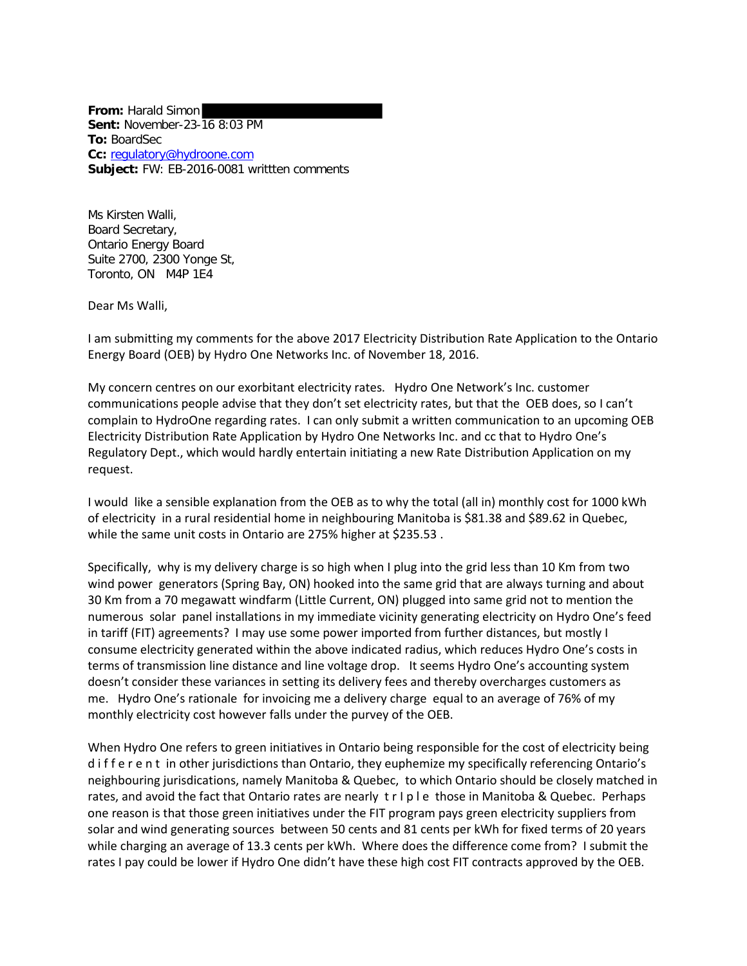**From:** Harald Simon **Sent:** November-23-16 8:03 PM **To:** BoardSec **Cc:** [regulatory@hydroone.com](mailto:regulatory@hydroone.com) **Subject:** FW: EB-2016-0081 writtten comments

Ms Kirsten Walli, Board Secretary, Ontario Energy Board Suite 2700, 2300 Yonge St, Toronto, ON M4P 1E4

Dear Ms Walli,

I am submitting my comments for the above 2017 Electricity Distribution Rate Application to the Ontario Energy Board (OEB) by Hydro One Networks Inc. of November 18, 2016.

My concern centres on our exorbitant electricity rates. Hydro One Network's Inc. customer communications people advise that they don't set electricity rates, but that the OEB does, so I can't complain to HydroOne regarding rates. I can only submit a written communication to an upcoming OEB Electricity Distribution Rate Application by Hydro One Networks Inc. and cc that to Hydro One's Regulatory Dept., which would hardly entertain initiating a new Rate Distribution Application on my request.

I would like a sensible explanation from the OEB as to why the total (all in) monthly cost for 1000 kWh of electricity in a rural residential home in neighbouring Manitoba is \$81.38 and \$89.62 in Quebec, while the same unit costs in Ontario are 275% higher at \$235.53 .

Specifically, why is my delivery charge is so high when I plug into the grid less than 10 Km from two wind power generators (Spring Bay, ON) hooked into the same grid that are always turning and about 30 Km from a 70 megawatt windfarm (Little Current, ON) plugged into same grid not to mention the numerous solar panel installations in my immediate vicinity generating electricity on Hydro One's feed in tariff (FIT) agreements? I may use some power imported from further distances, but mostly I consume electricity generated within the above indicated radius, which reduces Hydro One's costs in terms of transmission line distance and line voltage drop. It seems Hydro One's accounting system doesn't consider these variances in setting its delivery fees and thereby overcharges customers as me. Hydro One's rationale for invoicing me a delivery charge equal to an average of 76% of my monthly electricity cost however falls under the purvey of the OEB.

When Hydro One refers to green initiatives in Ontario being responsible for the cost of electricity being d i f f e r e n t in other jurisdictions than Ontario, they euphemize my specifically referencing Ontario's neighbouring jurisdications, namely Manitoba & Quebec, to which Ontario should be closely matched in rates, and avoid the fact that Ontario rates are nearly t r I p l e those in Manitoba & Quebec. Perhaps one reason is that those green initiatives under the FIT program pays green electricity suppliers from solar and wind generating sources between 50 cents and 81 cents per kWh for fixed terms of 20 years while charging an average of 13.3 cents per kWh. Where does the difference come from? I submit the rates I pay could be lower if Hydro One didn't have these high cost FIT contracts approved by the OEB.